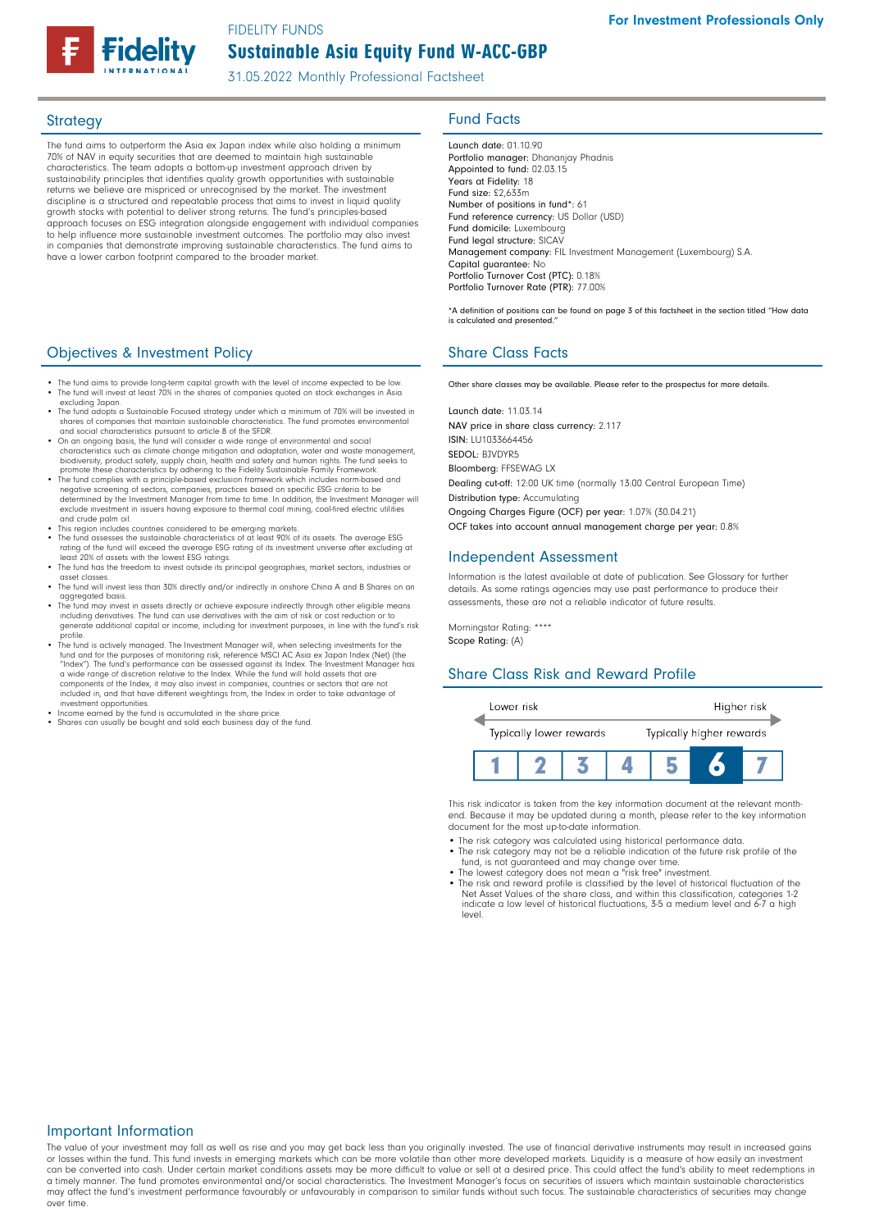FIDELITY FUNDS

# Sustainable Asia Equity Fund W-ACC-GBP

31.05.2022 Monthly Professional Factsheet

The fund aims to outperform the Asia ex Japan index while also holding a minimum 70% of NAV in equity securities that are deemed to maintain high sustainable characteristics. The team adopts a bottom-up investment approach driven by sustainability principles that identifies quality growth opportunities with sustainable returns we believe are mispriced or unrecognised by the market. The investment discipline is a structured and repeatable process that aims to invest in liquid quality growth stocks with potential to deliver strong returns. The fund's principles-based approach focuses on ESG integration alongside engagement with individual companies to help influence more sustainable investment outcomes. The portfolio may also invest in companies that demonstrate improving sustainable characteristics. The fund aims to have a lower carbon footprint compared to the broader market.

# **Objectives & Investment Policy Share Class Facts** Share Class Facts

- The fund aims to provide long-term capital growth with the level of income expected to be low. The fund will invest at least 70% in the shares of companies quoted on stock exchanges in Asia excluding Japan.
- The fund adopts a Sustainable Focused strategy under which a minimum of 70% will be invested in<br>shares of companies that maintain sustainable characteristics. The fund promotes environmental<br>and social characteristics pu
- On an ongoing basis, the fund will consider a wide range of environmental and social<br>characteristics such as climate change mitigation and adaptation, water and waste management,<br>biodiversity, product safety, supply chai
- promote these characteristics by adhering to the Fidelity Sustainable Family Framework. The fund complies with a principle-based exclusion framework which includes norm-based and negative screening of sectors, companies, practices based on specific ESG criteria to be<br>determined by the Investment Manager from time to time. In addition, the Investment Manager will<br>exclude investment in issuers having and crude palm oil.
- 
- This region includes countries considered to be emerging markets. The fund assesses the sustainable characteristics of at least 90% of its assets. The average ESG rating of the fund will exceed the average ESG rating of its investment universe after excluding at least 20% of assets with the lowest ESG ratings.
- The fund has the freedom to invest outside its principal geographies, market sectors, industries or reset classes asset classes. • The fund will invest less than 30% directly and/or indirectly in onshore China A and B Shares on an
- aggregated basis
- The fund may invest in assets directly or achieve exposure indirectly through other eligible means including derivatives. The fund can use derivatives with the aim of risk or cost reduction or to generate additional capital or income, including for investment purposes, in line with the fund's risk profile.
- The fund is actively managed. The Investment Manager will, when selecting investments for the "<br>fund and for the purposes of monitoring risk, reference MSCI AC Asia ex Japan Index (Net) (the<br>"Index"). The fund's performanc a wide range of discretion relative to the Index. While the fund will hold assets that are components of the Index, it may also invest in companies, countries or sectors that are not included in, and that have different weightings from, the Index in order to take advantage of investment opportunities. • Income earned by the fund is accumulated in the share price.
- Shares can usually be bought and sold each business day of the fund.

# Strategy **Fund Facts**

Launch date: 01.10 90 Portfolio manager: Dhananjay Phadnis Appointed to fund: 02.03.15 Years at Fidelity: 18 Fund size: £2,633m Number of positions in fund\*: 61 Fund reference currency: US Dollar (USD) Fund domicile: Luxembourg Fund legal structure: SICAV Management company: FIL Investment Management (Luxembourg) S.A. Capital guarantee: No Portfolio Turnover Cost (PTC): 0.18% Portfolio Turnover Rate (PTR): 77.00%

\*A definition of positions can be found on page 3 of this factsheet in the section titled "How data is calculated and presented."

Other share classes may be available. Please refer to the prospectus for more details.

Launch date: 11.03.14 NAV price in share class currency: 2.117 ISIN: LU1033664456 SEDOL: BJVDYR5 Bloomberg: FFSEWAG LX Dealing cut-off: 12:00 UK time (normally 13:00 Central European Time) Distribution type: Accumulating Ongoing Charges Figure (OCF) per year: 1.07% (30.04.21) OCF takes into account annual management charge per year: 0.8%

### Independent Assessment

Information is the latest available at date of publication. See Glossary for further details. As some ratings agencies may use past performance to produce their assessments, these are not a reliable indicator of future results.

Morningstar Rating: \*\*\*\* Scope Rating: (A)

### Share Class Risk and Reward Profile



This risk indicator is taken from the key information document at the relevant monthend. Because it may be updated during a month, please refer to the key information document for the most up-to-date information.

- The risk category was calculated using historical performance data.
- The risk category may not be a reliable indication of the future risk profile of the fund, is not guaranteed and may change over time.
- The lowest category does not mean a "risk free" investment. The risk and reward profile is classified by the level of historical fluctuation of the Net Asset Values of the share class, and within this classification, categories 1-2

# indicate a low level of historical fluctuations, 3-5 a medium level and 6-7 a high level.

### Important Information

The value of your investment may fall as well as rise and you may get back less than you originally invested. The use of financial derivative instruments may result in increased gains or losses within the fund. This fund invests in emerging markets which can be more volatile than other more developed markets. Liquidity is a measure of how easily an investment<br>can be converted into cash. Under certain ma a timely manner. The fund promotes environmental and/or social characteristics. The Investment Manager's focus on securities of issuers which maintain sustainable characteristics may affect the fund's investment performance favourably or unfavourably in comparison to similar funds without such focus. The sustainable characteristics of securities may change over time.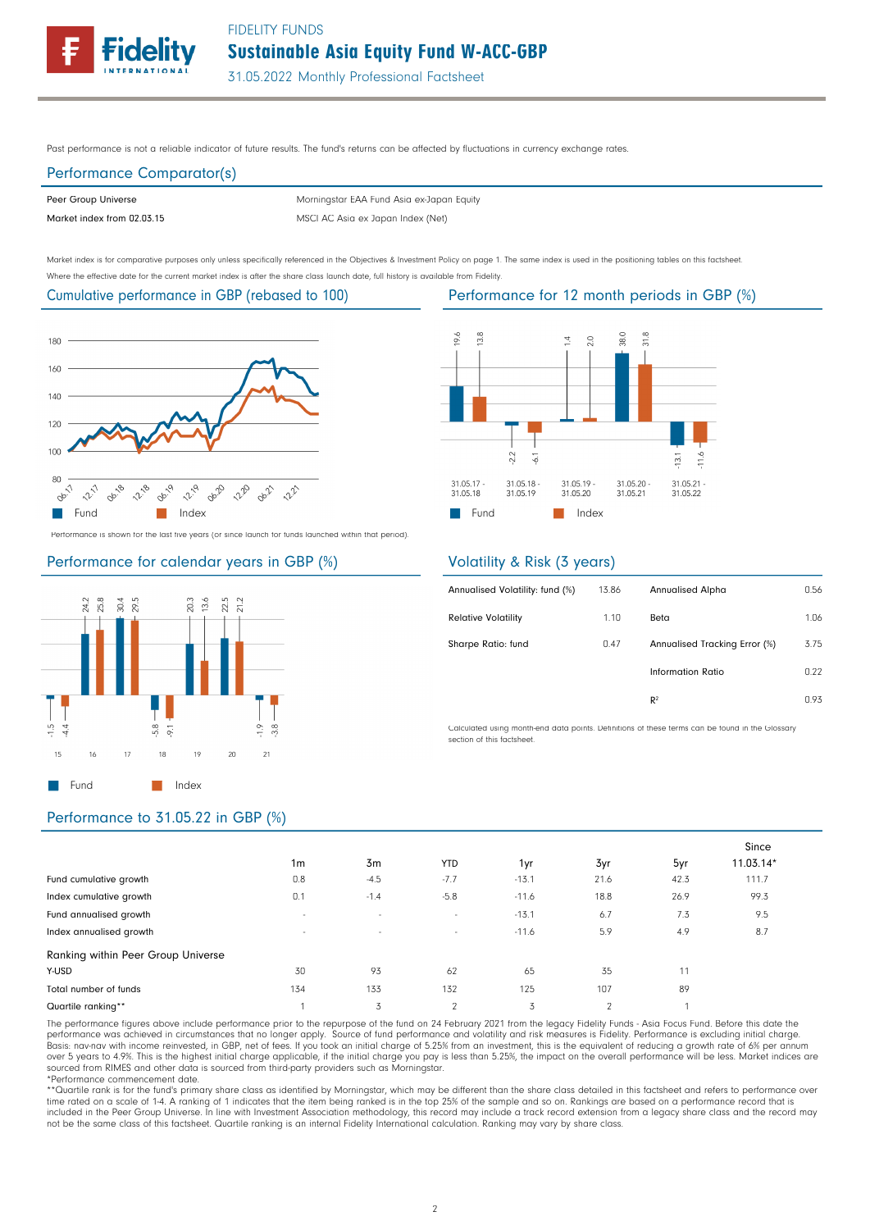Sustainable Asia Equity Fund W-ACC-GBP FIDELITY FUNDS



31.05.2022 Monthly Professional Factsheet

Past performance is not a reliable indicator of future results. The fund's returns can be affected by fluctuations in currency exchange rates.

# Performance Comparator(s)

Peer Group Universe

Market index from 02.03.15 MSCI AC Asia ex Japan Index (Net) Morningstar EAA Fund Asia ex-Japan Equity

Market index is for comparative purposes only unless specifically referenced in the Objectives & Investment Policy on page 1. The same index is used in the positioning tables on this factsheet. Where the effective date for the current market index is after the share class launch date, full history is available from Fidelity.

## Cumulative performance in GBP (rebased to 100)



Performance is shown for the last five years (or since launch for funds launched within that period).

### Performance for calendar years in GBP (%)



#### 19.6 13.8 38.0  $31.8$  $2.0$  $\overline{A}$  $2.2$  $\overline{3}$ 31.05.19<br>31.05.20  $31.05.21$ 31.05.17 31.05.20 31.05.18 31.05.18 31.05.19 31.05.21 31.05.22 **Fund** Index

### Volatility & Risk (3 years)

| Annualised Volatility: fund (%) | 13.86 | <b>Annualised Alpha</b>       | 0.56 |
|---------------------------------|-------|-------------------------------|------|
| <b>Relative Volatility</b>      | 1.10  | Beta                          | 1.06 |
| Sharpe Ratio: fund              | 0.47  | Annualised Tracking Error (%) | 3.75 |
|                                 |       | Information Ratio             | 0.22 |
|                                 |       | R <sup>2</sup>                | 0.93 |
|                                 |       |                               |      |

Calculated using month-end data points. Definitions of these terms can be found in the Glossary section of this factsheet.

## Performance to 31.05.22 in GBP (%)

|                                    |                          |        |                |         |          |      | Since       |
|------------------------------------|--------------------------|--------|----------------|---------|----------|------|-------------|
|                                    | 1 <sub>m</sub>           | 3m     | <b>YTD</b>     | 1yr     | 3yr      | 5yr  | $11.03.14*$ |
| Fund cumulative growth             | 0.8                      | $-4.5$ | $-7.7$         | $-13.1$ | 21.6     | 42.3 | 111.7       |
| Index cumulative growth            | 0.1                      | $-1.4$ | $-5.8$         | $-11.6$ | 18.8     | 26.9 | 99.3        |
| Fund annualised growth             | $\overline{\phantom{a}}$ | $\sim$ | $\sim$         | $-13.1$ | 6.7      | 7.3  | 9.5         |
| Index annualised growth            | $\overline{\phantom{a}}$ | $\sim$ | $\sim$         | $-11.6$ | 5.9      | 4.9  | 8.7         |
| Ranking within Peer Group Universe |                          |        |                |         |          |      |             |
| Y-USD                              | 30                       | 93     | 62             | 65      | 35       | 11   |             |
| Total number of funds              | 134                      | 133    | 132            | 125     | 107      | 89   |             |
| Quartile ranking**                 |                          | 3      | $\mathfrak{p}$ | 3       | $\Omega$ |      |             |

The performance figures above include performance prior to the repurpose of the fund on 24 February 2021 from the legacy Fidelity Funds - Asia Focus Fund. Before this date the<br>performance was achieved in circumstances that over 5 years to 4.9%. This is the highest initial charge applicable, if the initial charge you pay is less than 5.25%, the impact on the overall performance will be less. Market indices are sourced from RIMES and other data is sourced from third-party providers such as Morningstar. \*Performance commencement date.

\*\*Quartile rank is for the fund's primary share class as identified by Morningstar, which may be different than the share class detailed in this factsheet and refers to performance over time rated on a scale of 1-4. A ranking of 1 indicates that the item being ranked is in the top 25% of the sample and so on. Rankings are based on a performance record that is included in the Peer Group Universe. In line with Investment Association methodology, this record may include a track record extension from a legacy share class and the record may<br>not be the same class of this factsheet. Q

# Performance for 12 month periods in GBP (%)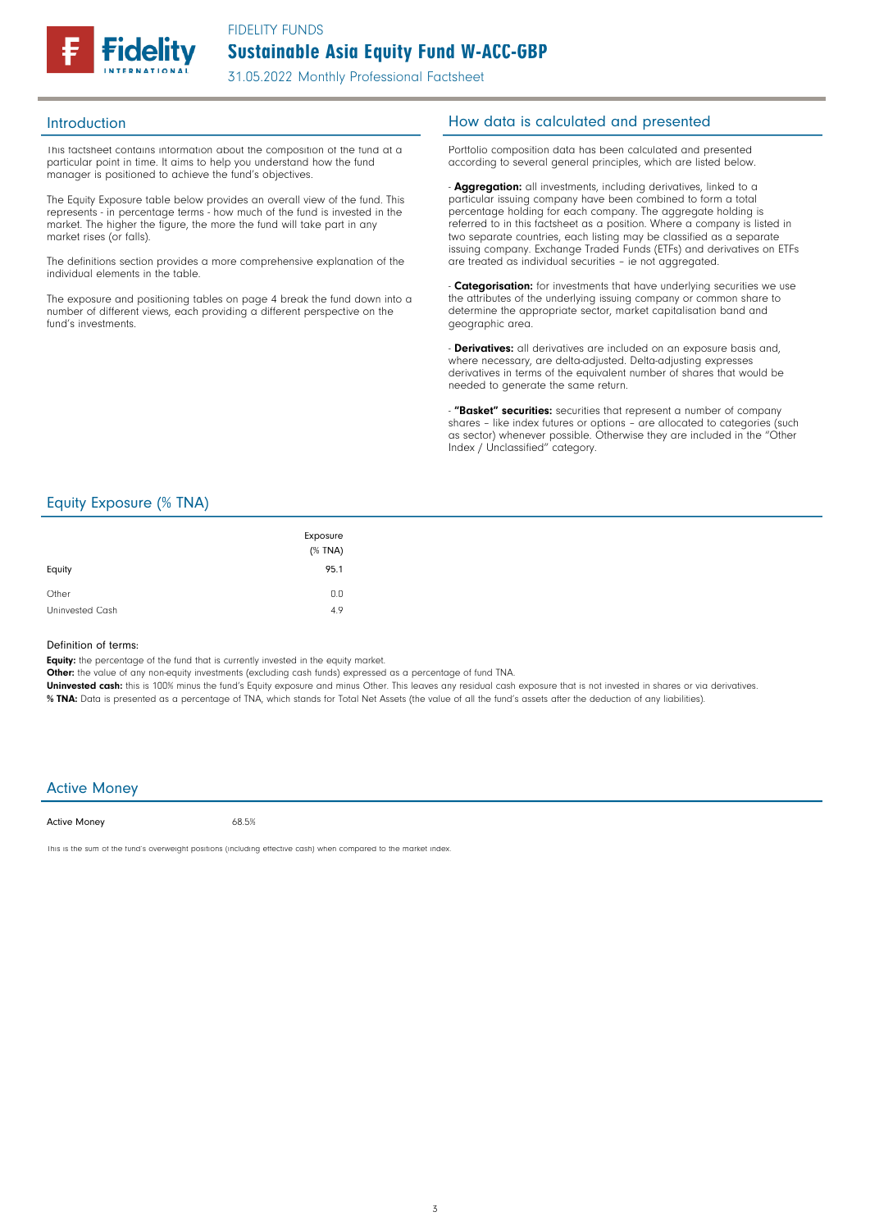

This factsheet contains information about the composition of the fund at a particular point in time. It aims to help you understand how the fund manager is positioned to achieve the fund's objectives.

The Equity Exposure table below provides an overall view of the fund. This represents - in percentage terms - how much of the fund is invested in the market. The higher the figure, the more the fund will take part in any market rises (or falls).

The definitions section provides a more comprehensive explanation of the individual elements in the table.

The exposure and positioning tables on page 4 break the fund down into a number of different views, each providing a different perspective on the fund's investments.

# Introduction **Introduction How data is calculated and presented**

Portfolio composition data has been calculated and presented according to several general principles, which are listed below.

- **Aggregation:** all investments, including derivatives, linked to a particular issuing company have been combined to form a total percentage holding for each company. The aggregate holding is referred to in this factsheet as a position. Where a company is listed in two separate countries, each listing may be classified as a separate issuing company. Exchange Traded Funds (ETFs) and derivatives on ETFs are treated as individual securities – ie not aggregated.

**Categorisation:** for investments that have underlying securities we use the attributes of the underlying issuing company or common share to determine the appropriate sector, market capitalisation band and geographic area.

- **Derivatives:** all derivatives are included on an exposure basis and, where necessary, are delta-adjusted. Delta-adjusting expresses derivatives in terms of the equivalent number of shares that would be needed to generate the same return.

"Basket" securities: securities that represent a number of company shares - like index futures or options - are allocated to categories (such as sector) whenever possible. Otherwise they are included in the "Other Index / Unclassified" category.

# Equity Exposure (% TNA)

| Equity          | Exposure<br>$(%$ (% TNA)<br>95.1 |
|-----------------|----------------------------------|
| Other           | 0.0                              |
| Uninvested Cash | 4.9                              |

#### Definition of terms:

Equity: the percentage of the fund that is currently invested in the equity market.

Other: the value of any non-equity investments (excluding cash funds) expressed as a percentage of fund TNA.

Uninvested cash: this is 100% minus the fund's Equity exposure and minus Other. This leaves any residual cash exposure that is not invested in shares or via derivatives. % TNA: Data is presented as a percentage of TNA, which stands for Total Net Assets (the value of all the fund's assets after the deduction of any liabilities).

#### Active Money

Active Money

68.5%

This is the sum of the fund's overweight positions (including effective cash) when compared to the market index.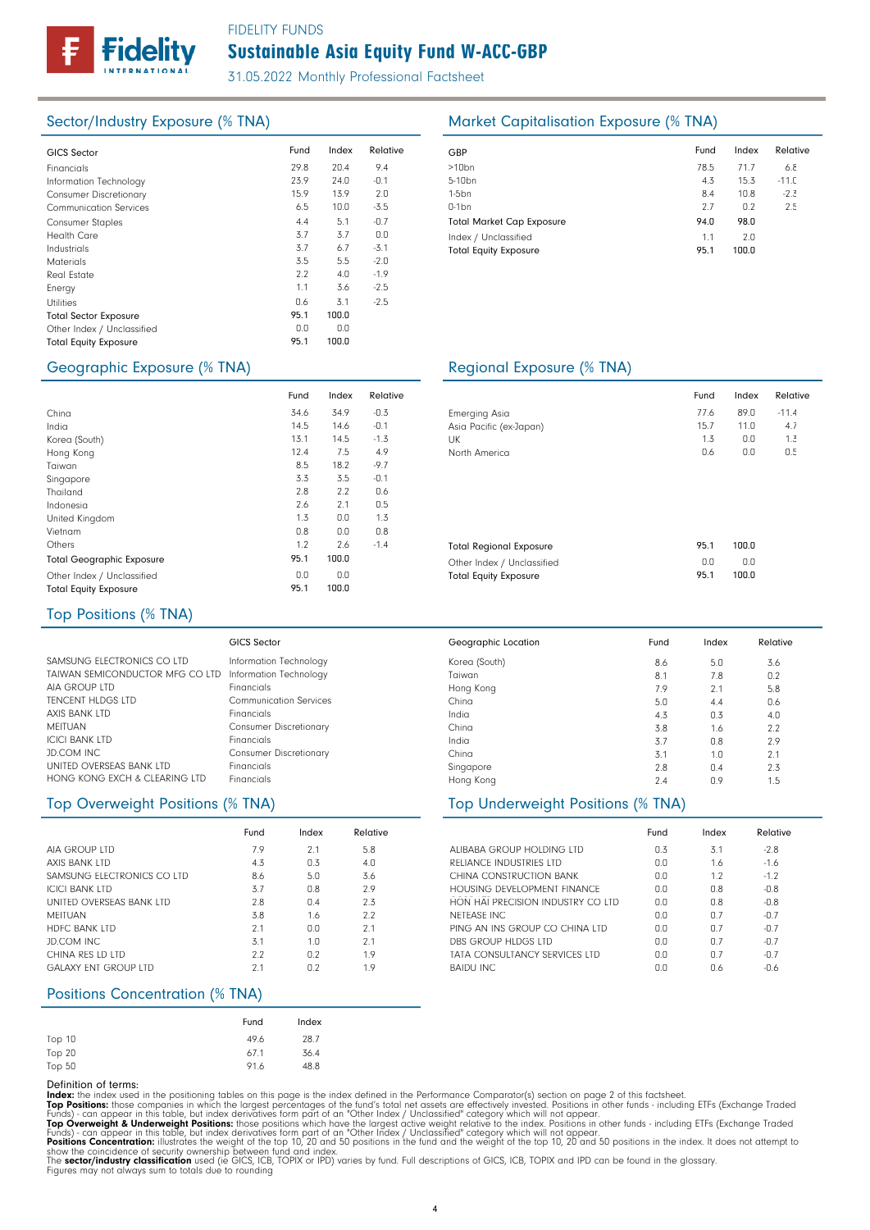# FIDELITY FUNDS

# Sustainable Asia Equity Fund W-ACC-GBP

31.05.2022 Monthly Professional Factsheet

| <b>GICS Sector</b>            | Fund | Index | Relative | GBP              |
|-------------------------------|------|-------|----------|------------------|
| Financials                    | 29.8 | 20.4  | 9.4      | >10 <sub>k</sub> |
| Information Technology        | 23.9 | 24.0  | $-0.1$   | $5 - 10$         |
| <b>Consumer Discretionary</b> | 15.9 | 13.9  | 2.0      | 1-5b             |
| <b>Communication Services</b> | 6.5  | 10.0  | $-3.5$   | $0-1b$           |
| <b>Consumer Staples</b>       | 4.4  | 5.1   | $-0.7$   | Tota             |
| <b>Health Care</b>            | 3.7  | 3.7   | 0.0      | Inde             |
| Industrials                   | 3.7  | 6.7   | $-3.1$   | Tota             |
| <b>Materials</b>              | 3.5  | 5.5   | $-2.0$   |                  |
| <b>Real Estate</b>            | 2.2  | 4.0   | $-1.9$   |                  |
| Energy                        | 1.1  | 3.6   | $-2.5$   |                  |
| <b>Utilities</b>              | 0.6  | 3.1   | $-2.5$   |                  |
| <b>Total Sector Exposure</b>  | 95.1 | 100.0 |          |                  |
| Other Index / Unclassified    | 0.0  | 0.0   |          |                  |
| <b>Total Equity Exposure</b>  | 95.1 | 100.0 |          |                  |
|                               |      |       |          |                  |

# Sector/Industry Exposure (% TNA) Market Capitalisation Exposure (% TNA)

| GBP                              | Fund | Index | Relative |
|----------------------------------|------|-------|----------|
| $>10$ bn                         | 78.5 | 71.7  | 6.8      |
| 5-10 <sub>bn</sub>               | 4.3  | 15.3  | $-11.0$  |
| $1-5$ bn                         | 8.4  | 10.8  | $-2.3$   |
| $0-1$ bn                         | 2.7  | 0.2   | 2.5      |
| <b>Total Market Cap Exposure</b> | 94.0 | 98.0  |          |
| Index / Unclassified             | 1.1  | 2.0   |          |
| <b>Total Equity Exposure</b>     | 95.1 | 100.0 |          |

# ographic Exposure (% TNA) and Contact Contact Regional Exposure (% TNA)

| Geographic exposure (% TNA) |  |  |
|-----------------------------|--|--|
|                             |  |  |

|                                  | Fund | Index | Relative |  |
|----------------------------------|------|-------|----------|--|
| China                            | 34.6 | 34.9  | $-0.3$   |  |
| India                            | 14.5 | 14.6  | $-0.1$   |  |
| Korea (South)                    | 13.1 | 14.5  | $-1.3$   |  |
| Hong Kong                        | 12.4 | 7.5   | 4.9      |  |
| Taiwan                           | 8.5  | 18.2  | $-9.7$   |  |
| Singapore                        | 3.3  | 3.5   | $-0.1$   |  |
| Thailand                         | 2.8  | 2.2   | 0.6      |  |
| Indonesia                        | 2.6  | 2.1   | 0.5      |  |
| United Kingdom                   | 1.3  | 0.0   | 1.3      |  |
| Vietnam                          | 0.8  | 0.0   | 0.8      |  |
| Others                           | 1.2  | 2.6   | $-1.4$   |  |
| <b>Total Geographic Exposure</b> | 95.1 | 100.0 |          |  |
| Other Index / Unclassified       | 0.0  | 0.0   |          |  |
| <b>Total Equity Exposure</b>     | 95.1 | 100.0 |          |  |

|                                | Fund | Index | Relative |
|--------------------------------|------|-------|----------|
| <b>Emerging Asia</b>           | 77.6 | 89.0  | $-11.4$  |
| Asia Pacific (ex-Japan)        | 15.7 | 11.0  | 4.7      |
| UK                             | 1.3  | 0.0   | 1.3      |
| North America                  | 0.6  | 0.0   | 0.5      |
|                                |      |       |          |
|                                |      |       |          |
|                                |      |       |          |
|                                |      |       |          |
| <b>Total Regional Exposure</b> | 95.1 | 100.0 |          |
| Other Index / Unclassified     | 0.0  | 0.0   |          |
| <b>Total Equity Exposure</b>   | 95.1 | 100.0 |          |

### Top Positions (% TNA)

|                                 | GICS Sector                   |
|---------------------------------|-------------------------------|
| SAMSUNG ELECTRONICS CO LTD      | Information Technology        |
| TAIWAN SEMICONDUCTOR MFG CO LTD | Information Technology        |
| AIA GROUP LTD                   | Financials                    |
| <b>TENCENT HLDGS LTD</b>        | <b>Communication Services</b> |
| AXIS BANK LTD                   | Financials                    |
| <b>MEITUAN</b>                  | <b>Consumer Discretionary</b> |
| <b>ICICI BANK LTD</b>           | Financials                    |
| JD.COM INC                      | <b>Consumer Discretionary</b> |
| UNITED OVERSEAS BANK LTD        | Financials                    |
| HONG KONG EXCH & CLEARING LTD   | Financials                    |
|                                 |                               |

|                             | Fund | Index | Relative |
|-----------------------------|------|-------|----------|
| AIA GROUP LTD               | 7.9  | 2.1   | 5.8      |
| <b>AXIS BANK LTD</b>        | 4.3  | 0.3   | 4.0      |
| SAMSUNG FLECTRONICS CO LTD  | 8.6  | 5.0   | 3.6      |
| <b>ICICI BANK LTD</b>       | 3.7  | 0.8   | 2.9      |
| UNITED OVERSEAS BANK LTD    | 2.8  | 0.4   | 2.3      |
| MFITUAN                     | 3.8  | 1.6   | 2.2      |
| <b>HDFC BANK LTD</b>        | 2.1  | 0.0   | 2.1      |
| JD.COM INC                  | 3.1  | 1.0   | 2.1      |
| CHINA RFS LD LTD            | 2.2  | 0.2   | 1.9      |
| <b>GALAXY FNT GROUP LTD</b> | 2.1  | 0.2   | 1.9      |

#### Positions Concentration (% TNA)

|        | Fund | Index |
|--------|------|-------|
| Top 10 | 49.6 | 28.7  |
| Top 20 | 67.1 | 36.4  |
| Top 50 | 91.6 | 48.8  |

Definition of terms:<br>
Top Positions: these din the positioning tables on this page is the index defined in the Performance Comparator(s) section on page 2 of this factsheet.<br>
ITOP Positions: those companies in which the la

# 100.0

| Geographic Location | Fund | Index | Relative |
|---------------------|------|-------|----------|
| Korea (South)       | 8.6  | 5.0   | 3.6      |
| Taiwan              | 8.1  | 7.8   | 0.2      |
| Hong Kong           | 7.9  | 2.1   | 5.8      |
| China               | 5.0  | 4.4   | 0.6      |
| India               | 4.3  | 0.3   | 4.0      |
| China               | 3.8  | 1.6   | 2.2      |
| India               | 3.7  | 0.8   | 2.9      |
| China               | 3.1  | 1.0   | 2.1      |
| Singapore           | 2.8  | 0.4   | 2.3      |
| Hong Kong           | 2.4  | 0.9   | 1.5      |

# Top Overweight Positions (% TNA) Top Underweight Positions (% TNA)

|                                   | Fund | Index | Relative |
|-----------------------------------|------|-------|----------|
| ALIBARA GROUP HOLDING LTD         | 0.3  | 3.1   | $-2.8$   |
| RELIANCE INDUSTRIES LTD           | 0.0  | 1.6   | $-1.6$   |
| CHINA CONSTRUCTION BANK           | 0.0  | 1.7   | $-1.2$   |
| HOUSING DEVELOPMENT FINANCE       | 0.0  | 0.8   | $-0.8$   |
| HON HAI PRECISION INDUSTRY CO LTD | 0.0  | 0.8   | $-0.8$   |
| NFTFASF INC                       | 0.0  | n 7   | $-0.7$   |
| PING AN INS GROUP CO CHINA LTD    | 0.0  | 07    | $-0.7$   |
| DBS GROUP HLDGS LTD               | n n  | 07    | $-0.7$   |
| TATA CONSULTANCY SERVICES LTD     | 0.0  | n 7   | $-0.7$   |
| <b>BAIDU INC</b>                  | nη   | 0.6   | $-0.6$   |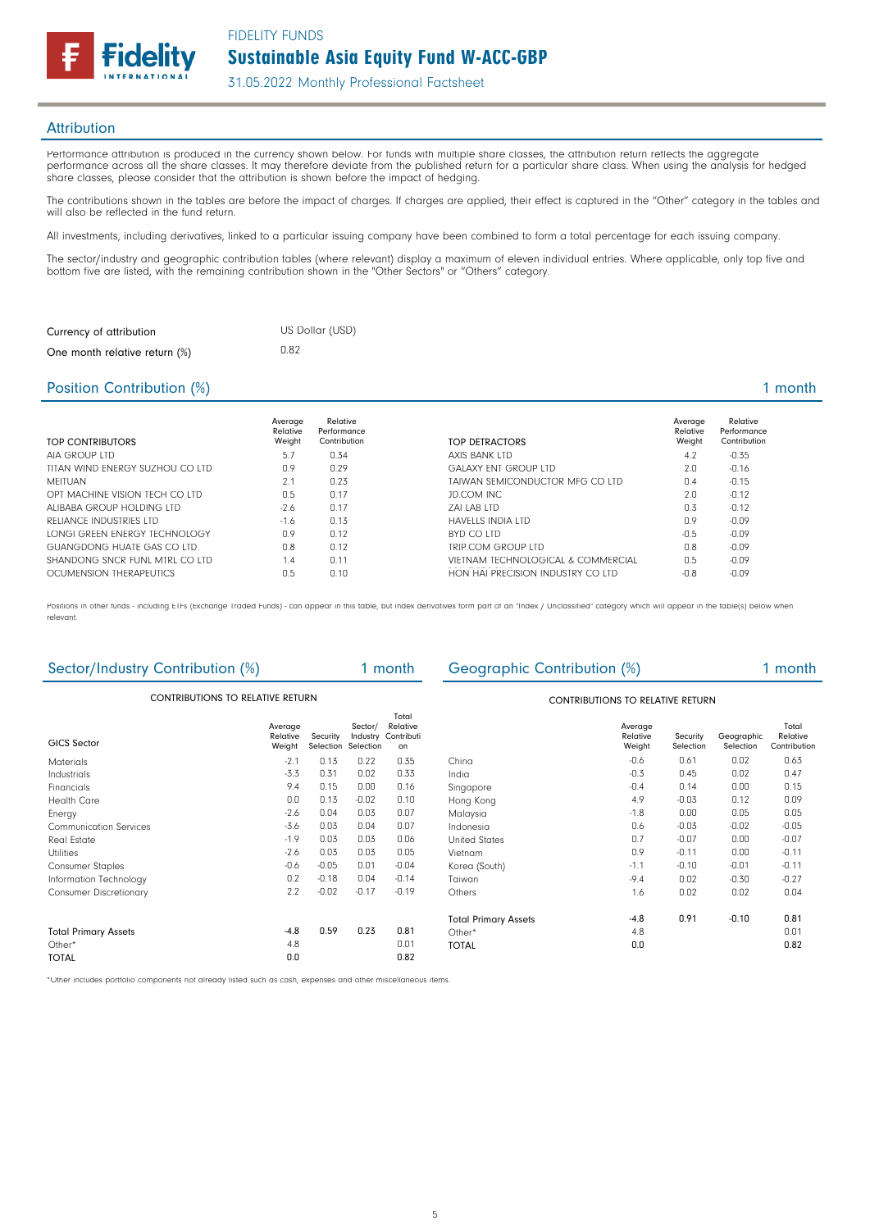Sustainable Asia Equity Fund W-ACC-GBP FIDELITY FUNDS

31.05.2022 Monthly Professional Factsheet

### **Attribution**

Performance attribution is produced in the currency shown below. For funds with multiple share classes, the attribution return reflects the aggregate performance across all the share classes. It may therefore deviate from the published return for a particular share class. When using the analysis for hedged share classes, please consider that the attribution is shown before the impact of hedging.

The contributions shown in the tables are before the impact of charges. If charges are applied, their effect is captured in the "Other" category in the tables and will also be reflected in the fund return.

All investments, including derivatives, linked to a particular issuing company have been combined to form a total percentage for each issuing company.

The sector/industry and geographic contribution tables (where relevant) display a maximum of eleven individual entries. Where applicable, only top five and bottom five are listed, with the remaining contribution shown in the "Other Sectors" or "Others" category.

| Currency of attribution       | US Dollar (USD) |
|-------------------------------|-----------------|
| One month relative return (%) | 0.82            |

delitv

#### Position Contribution (%) 2 and 2 and 2 and 2 and 2 and 2 and 2 and 2 and 2 and 2 and 2 and 2 and 2 and 2 and 2 and 2 and 2 and 2 and 2 and 2 and 2 and 2 and 2 and 2 and 2 and 2 and 2 and 2 and 2 and 2 and 2 and 2 and 2 an

| TOP CONTRIBUTORS                  | Average<br>Relative<br>Weight | Relative<br>Performance<br>Contribution | TOP DETRACTORS                     | Average<br>Relative<br>Weight | Relative<br>Performance<br>Contribution |
|-----------------------------------|-------------------------------|-----------------------------------------|------------------------------------|-------------------------------|-----------------------------------------|
| AIA GROUP LTD                     | 5.7                           | 0.34                                    | AXIS BANK LTD                      | 4.2                           | $-0.35$                                 |
| TITAN WIND ENERGY SUZHOU CO LTD   | 0.9                           | 0.29                                    | <b>GALAXY ENT GROUP LTD</b>        | 2.0                           | $-0.16$                                 |
| MFITUAN                           | 2.1                           | 0.23                                    | TAIWAN SEMICONDUCTOR MEG CO LTD    | 0.4                           | $-0.15$                                 |
| OPT MACHINE VISION TECH CO LTD    | 0.5                           | 0.17                                    | JD.COM INC                         | 2.0                           | $-0.12$                                 |
| ALIBABA GROUP HOLDING LTD         | $-2.6$                        | 0.17                                    | <b>7AI LAB LTD</b>                 | 0.3                           | $-0.12$                                 |
| RELIANCE INDUSTRIES LTD           | $-1.6$                        | 0.13                                    | <b>HAVELLS INDIA LTD</b>           | 0.9                           | $-0.09$                                 |
| LONGI GRFFN FNFRGY TFCHNOLOGY     | 0.9                           | 0.12                                    | BYD CO LTD                         | $-0.5$                        | $-0.09$                                 |
| <b>GUANGDONG HUATE GAS CO LTD</b> | 0.8                           | 0.12                                    | TRIP.COM GROUP LTD                 | 0.8                           | $-0.09$                                 |
| SHANDONG SNCR FUNL MTRL CO LTD    | 1.4                           | 0.11                                    | VIETNAM TECHNOLOGICAL & COMMERCIAL | 0.5                           | $-0.09$                                 |
| OCUMENSION THERAPEUTICS           | 0.5                           | 0.10                                    | HON HAI PRECISION INDUSTRY CO LTD  | $-0.8$                        | $-0.09$                                 |
|                                   |                               |                                         |                                    |                               |                                         |

Positions in other funds - including ETFs (Exchange Traded Funds) - can appear in this table, but index derivatives form part of an "Index / Unclassified" category which will appear in the table(s) below when relevant.

| Sector/Industry Contribution (%)        |                               |                       |                                  | 1 month                                 | Geographic Contribution (%) |                               |                       |                         | 1 month                           |
|-----------------------------------------|-------------------------------|-----------------------|----------------------------------|-----------------------------------------|-----------------------------|-------------------------------|-----------------------|-------------------------|-----------------------------------|
| <b>CONTRIBUTIONS TO RELATIVE RETURN</b> |                               |                       |                                  | <b>CONTRIBUTIONS TO RELATIVE RETURN</b> |                             |                               |                       |                         |                                   |
| <b>GICS Sector</b>                      | Average<br>Relative<br>Weight | Security<br>Selection | Sector/<br>Industry<br>Selection | Total<br>Relative<br>Contributi<br>on   |                             | Average<br>Relative<br>Weight | Security<br>Selection | Geographic<br>Selection | Total<br>Relative<br>Contribution |
| <b>Materials</b>                        | $-2.1$                        | 0.13                  | 0.22                             | 0.35                                    | China                       | $-0.6$                        | 0.61                  | 0.02                    | 0.63                              |
| Industrials                             | $-3.3$                        | 0.31                  | 0.02                             | 0.33                                    | India                       | $-0.3$                        | 0.45                  | 0.02                    | 0.47                              |
| Financials                              | 9.4                           | 0.15                  | 0.00                             | 0.16                                    | Singapore                   | $-0.4$                        | 0.14                  | 0.00                    | 0.15                              |
| <b>Health Care</b>                      | 0.0                           | 0.13                  | $-0.02$                          | 0.10                                    | Hong Kong                   | 4.9                           | $-0.03$               | 0.12                    | 0.09                              |
| Energy                                  | $-2.6$                        | 0.04                  | 0.03                             | 0.07                                    | Malaysia                    | $-1.8$                        | 0.00                  | 0.05                    | 0.05                              |
| <b>Communication Services</b>           | $-3.6$                        | 0.03                  | 0.04                             | 0.07                                    | Indonesia                   | 0.6                           | $-0.03$               | $-0.02$                 | $-0.05$                           |
| <b>Real Estate</b>                      | $-1.9$                        | 0.03                  | 0.03                             | 0.06                                    | <b>United States</b>        | 0.7                           | $-0.07$               | 0.00                    | $-0.07$                           |
| <b>Utilities</b>                        | $-2.6$                        | 0.03                  | 0.03                             | 0.05                                    | Vietnam                     | 0.9                           | $-0.11$               | 0.00                    | $-0.11$                           |
| <b>Consumer Staples</b>                 | $-0.6$                        | $-0.05$               | 0.01                             | $-0.04$                                 | Korea (South)               | $-1.1$                        | $-0.10$               | $-0.01$                 | $-0.11$                           |
| Information Technology                  | 0.2                           | $-0.18$               | 0.04                             | $-0.14$                                 | Taiwan                      | $-9.4$                        | 0.02                  | $-0.30$                 | $-0.27$                           |
| <b>Consumer Discretionary</b>           | 2.2                           | $-0.02$               | $-0.17$                          | $-0.19$                                 | Others                      | 1.6                           | 0.02                  | 0.02                    | 0.04                              |
|                                         |                               |                       |                                  |                                         | <b>Total Primary Assets</b> | $-4.8$                        | 0.91                  | $-0.10$                 | 0.81                              |
| <b>Total Primary Assets</b>             | $-4.8$                        | 0.59                  | 0.23                             | 0.81                                    | Other*                      | 4.8                           |                       |                         | 0.01                              |
| Other*                                  | 4.8                           |                       |                                  | 0.01                                    | <b>TOTAL</b>                | 0.0                           |                       |                         | 0.82                              |
| <b>TOTAL</b>                            | 0.0                           |                       |                                  | 0.82                                    |                             |                               |                       |                         |                                   |

\*Other includes portfolio components not already listed such as cash, expenses and other miscellaneous items.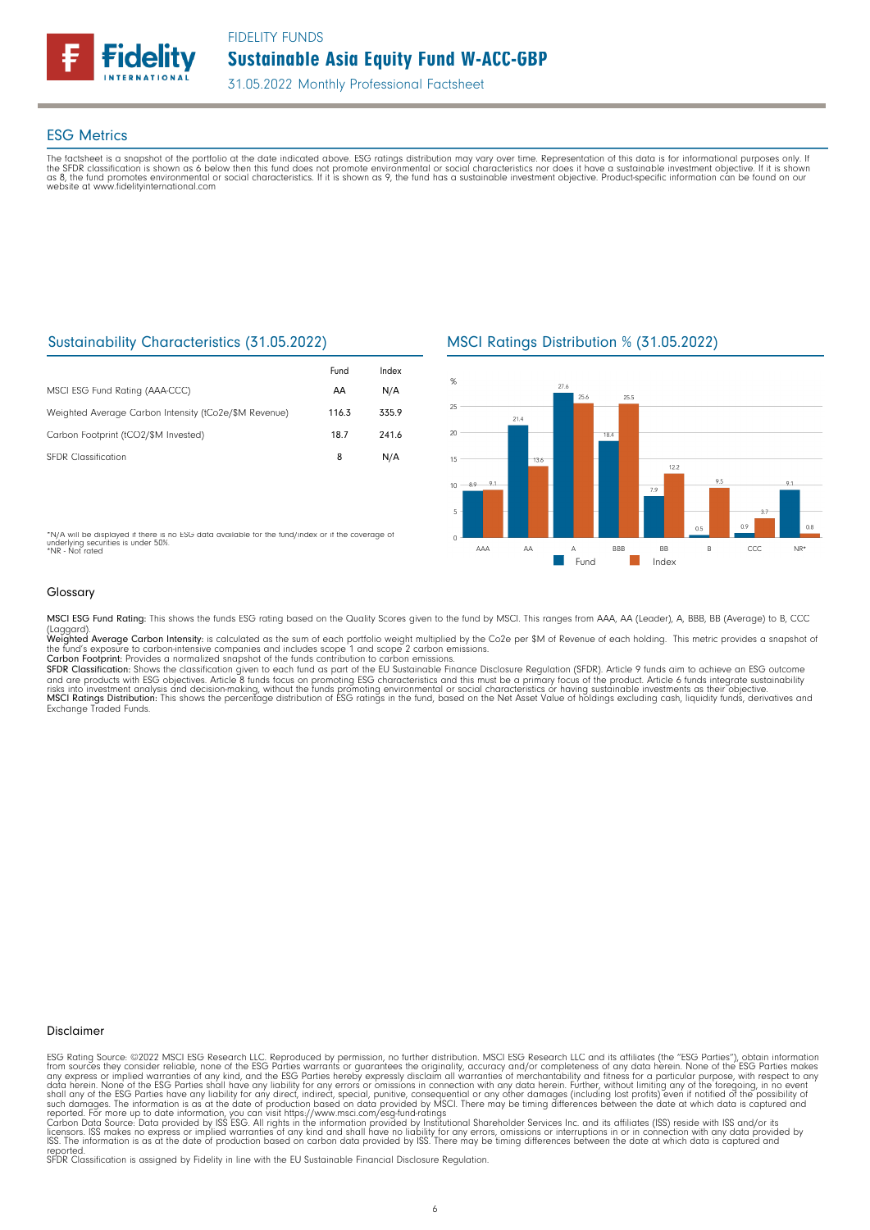

### ESG Metrics

The factsheet is a snapshot of the portfolio at the date indicated above. ESG ratings distribution may vary over time. Representation of this data is for informational purposes only. If<br>the SFDR classification is shown as website at www.fidelityinternational.com

# Sustainability Characteristics (31.05.2022)

|                                                       | Fund  | Index |
|-------------------------------------------------------|-------|-------|
| MSCI ESG Fund Rating (AAA-CCC)                        | AA    | N/A   |
| Weighted Average Carbon Intensity (tCo2e/\$M Revenue) | 116.3 | 335.9 |
| Carbon Footprint (tCO2/\$M Invested)                  | 18.7  | 241.6 |
| <b>SFDR Classification</b>                            | 8     | N/A   |

# MSCI Ratings Distribution % (31.05.2022)



\*N/A will be displayed if there is no ESG data available for the fund/index or if the coverage of underlying securities is under 50%. \*NR - Not rated

#### Glossary

MSCI ESG Fund Rating: This shows the funds ESG rating based on the Quality Scores given to the fund by MSCI. This ranges from AAA, AA (Leader), A, BBB, BB (Average) to B, CCC

(Laggard).<br>**Weighted Average Carbon Intensity**: is calculated as the sum of each portfolio weight multiplied by the Co2e per \$M of Revenue of each holding. This metric provides a snapshot o

the fund's exposure to carbon-intensive companies and includes scope 1 and scope 2 carbon emissions.<br>**Carbon Footprint**: Provides a normalized snapshot of the funds contribution to carbon emissions.<br>**SFDR Classification:** and are products with ESG objectives. Article 8 funds focus on promoting ESG characteristics and this must be a primary focus of the product. Article 6 funds integrate sustainability<br>risks into investment analysis and deci

#### Disclaimer

ESG Rating Source: ©2022 MSCI ESG Research LLC. Reproduced by permission, no further distribution. MSCI ESG Research LLC and its affiliates (the "ESG Parties"), obtain information<br>from sources they consider reliable, none

reported. SFDR Classification is assigned by Fidelity in line with the EU Sustainable Financial Disclosure Regulation.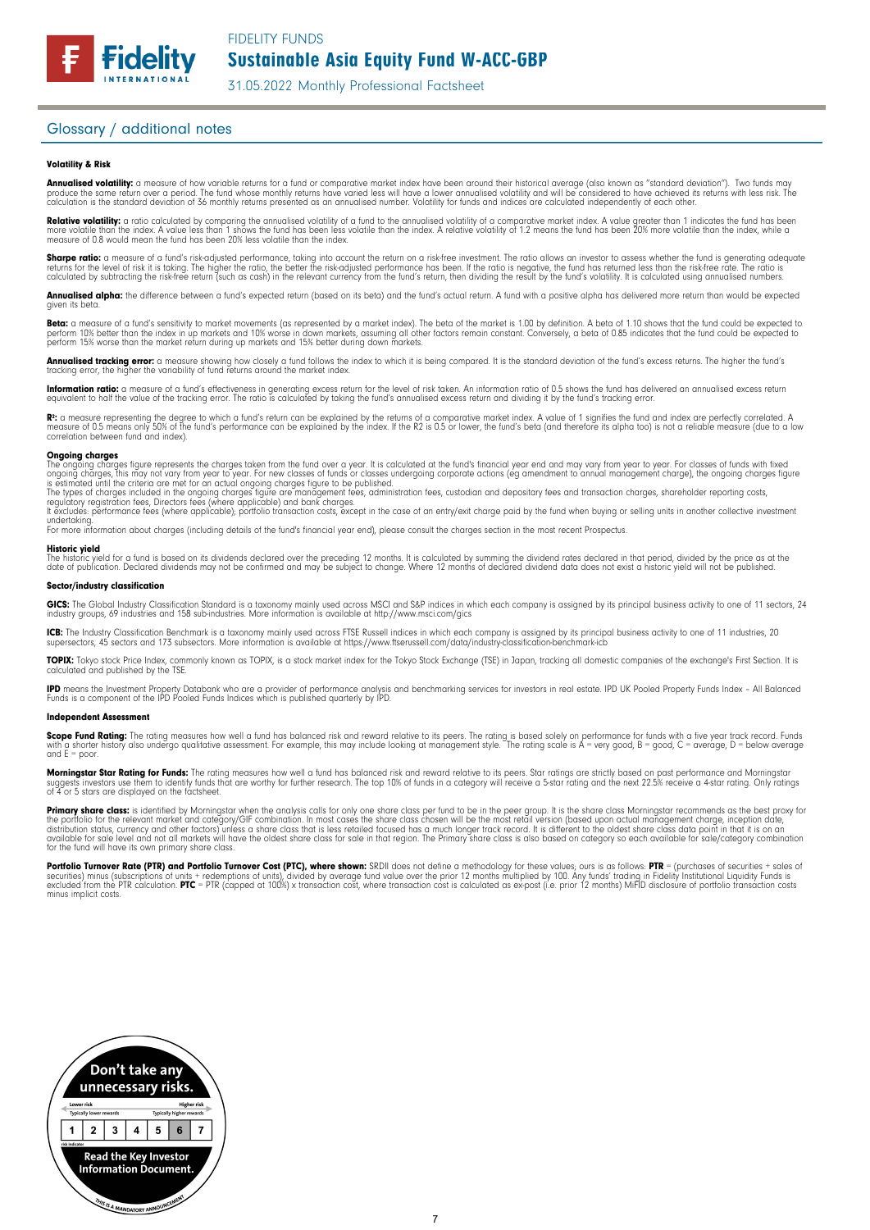# Glossary / additional notes

**Fidelity** 

#### Volatility & Risk

**Annualised volatility:** a measure of how variable returns for a fund or comparative market index have been around their historical average (also known as "standard deviation"). Two funds may<br>produce the same return over a calculation is the standard deviation of 36 monthly returns presented as an annualised number. Volatility for funds and indices are calculated independently of each other

**Relative volatility:** a ratio calculated by comparing the annualised volatility of a fund to the annualised volatility of a comparative market index. A value greater than 1 indicates the fund has been<br>more volatile than t measure of 0.8 would mean the fund has been 20% less volatile than the index.

**Sharpe ratio:** a measure of a fund's risk-adjusted performance, taking into account the return on a risk-free investment. The ratio allows an investor to assess whether the fund is generating adequate the tund is generati

Annualised alpha: the difference between a fund's expected return (based on its beta) and the fund's actual return. A fund with a positive alpha has delivered more return than would be expected given its beta

**Beta:** a measure of a fund's sensitivity to market movements (as represented by a market index). The beta of the market is 1.00 by definition. A beta of 1.10 shows that the fund could be expected to<br>perform 10% better tha perform 15% worse than the market return during up markets and 15% better during down markets.

**Annualised tracking error:** a measure showing how closely a tund tollows the index to which it is being compared. It is the standard deviation of the fund's excess returns. The higher the fund's<br>tracking error, the higher

**Information ratio:** a measure ot a tund's eftectiveness in generating excess return for the level of risk taken. An information ratio of U.5 shows the fund has delivered an annualised excess return<br>equivalent to half the

Rº: a measure representing the degree to which a fund's return can be explained by the returns of a comparative market index. A value of 1 signifies the fund and index are perfectly correlated. A<br>measure of 0.5 means only correlation between fund and index).

**Ongoing charges** figure represents the charges taken from the fund over a year. It is calculated at the fund's financial year end and may vary from year to year. For classes of funds with fixed ongoing charges figure repr

For more information about charges (including details of the fund's financial year end), please consult the charges section in the most recent Prospectus.

**Historic yield**<br>The historic yield for a fund is based on its dividends declared over the preceding 12 months. It is calculated by summing the dividend rates declared in that period, divided by the price as at the date of publication. Declared dividends may not be confirmed and may be subject to change. Where 12 months of declared dividend data does not exist a historic yield will not be published.

#### Sector/industry classification

GICS: The Global Industry Classification Standard is a taxonomy mainly used across MSCI and S&P indices in which each company is assigned by its principal business activity to one of 11 sectors, 24 industry groups, 69 industries and 158 sub-industries. More information is available at http://www.msci.com/gics

**ICB:** The Industry Classitication Benchmark is a taxonomy mainly used across FTSE Russell indices in which each company is assigned by its principal business activity to one of 11 industries, 20<br>supersectors, 45 sectors a

TOPIX: Tokyo stock Price Index, commonly known as TOPIX, is a stock market index for the Tokyo Stock Exchange (TSE) in Japan, tracking all domestic companies of the exchange's First Section. It is calculated and published by the TSE.

**IPD** means the Investment Property Databank who are a provider of performance analysis and benchmarking services for investors in real estate. IPD UK Pooled Property Funds Index - All Balanced<br>Funds is a component of the

#### Independent Assessment

**Scope Fund Rating:** The rating measures how well a fund has balanced risk and reward relative to its peers. The rating is based solely on performance for funds with a five year track record. Funds<br>with a shorter history a and  $E = poor$ 

**Morningstar Star Rating for Funds:** The rating measures how well a tund has balanced risk and reward relative to its peers. Star ratings are strictly based on past performance and Morningstar<br>suggests investors use them t suggests investors use them to identify turids to 4 or 5 stars are displayed on the factsheet.

**Primary share class:** is identified by Morningstar when the analysis calls for only one share class per fund to be in the peer group. It is the share class Morningstar recommends as the best proxy for the best proxy for c for the fund will have its own primary share class.

Portfolio Turnover Rate (PTR) and Portfolio Turnover Cost (PTC), where shown: SRDII does not define a methodology for these values; ours is as follows: PTR = (purchases of securities + sales of<br>securities) minus (subscript minus implicit costs.